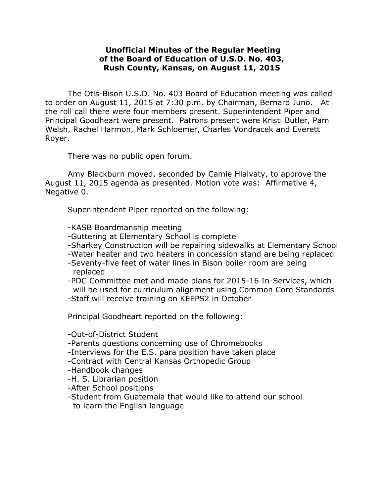## **Unofficial Minutes of the Regular Meeting of the Board of Education of U.S.D. No. 403, Rush County, Kansas, on August 11, 2015**

The Otis-Bison U.S.D. No. 403 Board of Education meeting was called to order on August 11, 2015 at 7:30 p.m. by Chairman, Bernard Juno. At the roll call there were four members present. Superintendent Piper and Principal Goodheart were present. Patrons present were Kristi Butler, Pam Welsh, Rachel Harmon, Mark Schloemer, Charles Vondracek and Everett Royer.

There was no public open forum.

Amy Blackburn moved, seconded by Camie Hlalvaty, to approve the August 11, 2015 agenda as presented. Motion vote was: Affirmative 4, Negative 0.

Superintendent Piper reported on the following:

-KASB Boardmanship meeting

- -Guttering at Elementary School is complete
- -Sharkey Construction will be repairing sidewalks at Elementary School
- -Water heater and two heaters in concession stand are being replaced
- -Seventy-five feet of water lines in Bison boiler room are being replaced
- -PDC Committee met and made plans for 2015-16 In-Services, which will be used for curriculum alignment using Common Core Standards
- -Staff will receive training on KEEPS2 in October

Principal Goodheart reported on the following:

- -Out-of-District Student
- -Parents questions concerning use of Chromebooks
- -Interviews for the E.S. para position have taken place
- -Contract with Central Kansas Orthopedic Group
- -Handbook changes
- -H. S. Librarian position
- -After School positions
- -Student from Guatemala that would like to attend our school to learn the English language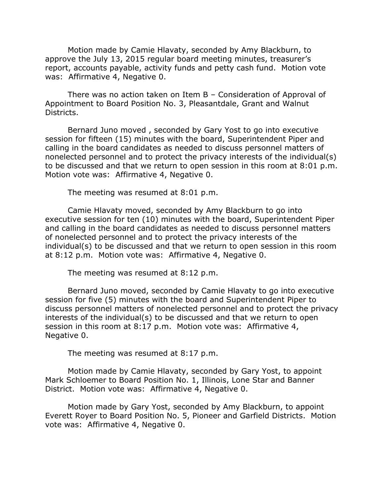Motion made by Camie Hlavaty, seconded by Amy Blackburn, to approve the July 13, 2015 regular board meeting minutes, treasurer's report, accounts payable, activity funds and petty cash fund. Motion vote was: Affirmative 4, Negative 0.

There was no action taken on Item B – Consideration of Approval of Appointment to Board Position No. 3, Pleasantdale, Grant and Walnut Districts.

Bernard Juno moved , seconded by Gary Yost to go into executive session for fifteen (15) minutes with the board, Superintendent Piper and calling in the board candidates as needed to discuss personnel matters of nonelected personnel and to protect the privacy interests of the individual(s) to be discussed and that we return to open session in this room at 8:01 p.m. Motion vote was: Affirmative 4, Negative 0.

The meeting was resumed at 8:01 p.m.

Camie Hlavaty moved, seconded by Amy Blackburn to go into executive session for ten (10) minutes with the board, Superintendent Piper and calling in the board candidates as needed to discuss personnel matters of nonelected personnel and to protect the privacy interests of the individual(s) to be discussed and that we return to open session in this room at 8:12 p.m. Motion vote was: Affirmative 4, Negative 0.

The meeting was resumed at 8:12 p.m.

Bernard Juno moved, seconded by Camie Hlavaty to go into executive session for five (5) minutes with the board and Superintendent Piper to discuss personnel matters of nonelected personnel and to protect the privacy interests of the individual(s) to be discussed and that we return to open session in this room at 8:17 p.m. Motion vote was: Affirmative 4, Negative 0.

The meeting was resumed at 8:17 p.m.

Motion made by Camie Hlavaty, seconded by Gary Yost, to appoint Mark Schloemer to Board Position No. 1, Illinois, Lone Star and Banner District. Motion vote was: Affirmative 4, Negative 0.

Motion made by Gary Yost, seconded by Amy Blackburn, to appoint Everett Royer to Board Position No. 5, Pioneer and Garfield Districts. Motion vote was: Affirmative 4, Negative 0.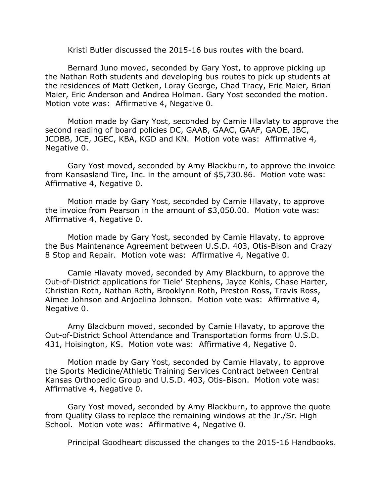Kristi Butler discussed the 2015-16 bus routes with the board.

Bernard Juno moved, seconded by Gary Yost, to approve picking up the Nathan Roth students and developing bus routes to pick up students at the residences of Matt Oetken, Loray George, Chad Tracy, Eric Maier, Brian Maier, Eric Anderson and Andrea Holman. Gary Yost seconded the motion. Motion vote was: Affirmative 4, Negative 0.

Motion made by Gary Yost, seconded by Camie Hlavlaty to approve the second reading of board policies DC, GAAB, GAAC, GAAF, GAOE, JBC, JCDBB, JCE, JGEC, KBA, KGD and KN. Motion vote was: Affirmative 4, Negative 0.

Gary Yost moved, seconded by Amy Blackburn, to approve the invoice from Kansasland Tire, Inc. in the amount of \$5,730.86. Motion vote was: Affirmative 4, Negative 0.

Motion made by Gary Yost, seconded by Camie Hlavaty, to approve the invoice from Pearson in the amount of \$3,050.00. Motion vote was: Affirmative 4, Negative 0.

Motion made by Gary Yost, seconded by Camie Hlavaty, to approve the Bus Maintenance Agreement between U.S.D. 403, Otis-Bison and Crazy 8 Stop and Repair. Motion vote was: Affirmative 4, Negative 0.

Camie Hlavaty moved, seconded by Amy Blackburn, to approve the Out-of-District applications for Tiele' Stephens, Jayce Kohls, Chase Harter, Christian Roth, Nathan Roth, Brooklynn Roth, Preston Ross, Travis Ross, Aimee Johnson and Anjoelina Johnson. Motion vote was: Affirmative 4, Negative 0.

Amy Blackburn moved, seconded by Camie Hlavaty, to approve the Out-of-District School Attendance and Transportation forms from U.S.D. 431, Hoisington, KS. Motion vote was: Affirmative 4, Negative 0.

Motion made by Gary Yost, seconded by Camie Hlavaty, to approve the Sports Medicine/Athletic Training Services Contract between Central Kansas Orthopedic Group and U.S.D. 403, Otis-Bison. Motion vote was: Affirmative 4, Negative 0.

Gary Yost moved, seconded by Amy Blackburn, to approve the quote from Quality Glass to replace the remaining windows at the Jr./Sr. High School. Motion vote was: Affirmative 4, Negative 0.

Principal Goodheart discussed the changes to the 2015-16 Handbooks.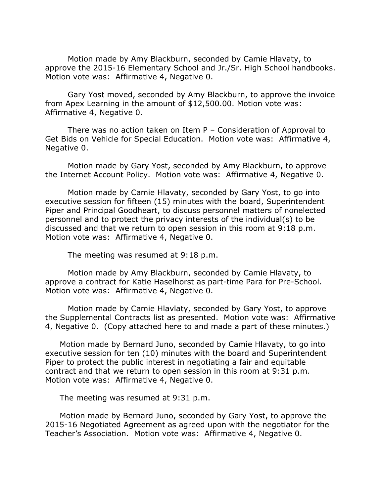Motion made by Amy Blackburn, seconded by Camie Hlavaty, to approve the 2015-16 Elementary School and Jr./Sr. High School handbooks. Motion vote was: Affirmative 4, Negative 0.

Gary Yost moved, seconded by Amy Blackburn, to approve the invoice from Apex Learning in the amount of \$12,500.00. Motion vote was: Affirmative 4, Negative 0.

There was no action taken on Item P – Consideration of Approval to Get Bids on Vehicle for Special Education. Motion vote was: Affirmative 4, Negative 0.

Motion made by Gary Yost, seconded by Amy Blackburn, to approve the Internet Account Policy. Motion vote was: Affirmative 4, Negative 0.

Motion made by Camie Hlavaty, seconded by Gary Yost, to go into executive session for fifteen (15) minutes with the board, Superintendent Piper and Principal Goodheart, to discuss personnel matters of nonelected personnel and to protect the privacy interests of the individual(s) to be discussed and that we return to open session in this room at 9:18 p.m. Motion vote was: Affirmative 4, Negative 0.

The meeting was resumed at 9:18 p.m.

Motion made by Amy Blackburn, seconded by Camie Hlavaty, to approve a contract for Katie Haselhorst as part-time Para for Pre-School. Motion vote was: Affirmative 4, Negative 0.

Motion made by Camie Hlavlaty, seconded by Gary Yost, to approve the Supplemental Contracts list as presented. Motion vote was: Affirmative 4, Negative 0. (Copy attached here to and made a part of these minutes.)

Motion made by Bernard Juno, seconded by Camie Hlavaty, to go into executive session for ten (10) minutes with the board and Superintendent Piper to protect the public interest in negotiating a fair and equitable contract and that we return to open session in this room at 9:31 p.m. Motion vote was: Affirmative 4, Negative 0.

The meeting was resumed at 9:31 p.m.

Motion made by Bernard Juno, seconded by Gary Yost, to approve the 2015-16 Negotiated Agreement as agreed upon with the negotiator for the Teacher's Association. Motion vote was: Affirmative 4, Negative 0.